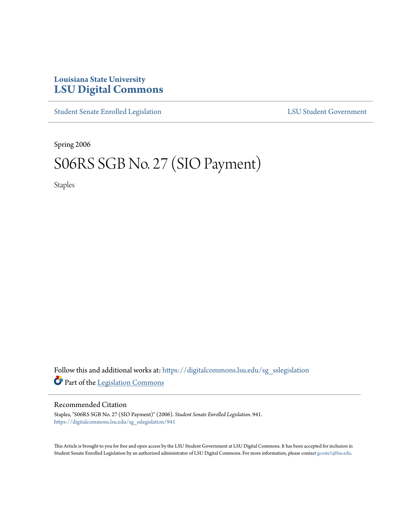## **Louisiana State University [LSU Digital Commons](https://digitalcommons.lsu.edu?utm_source=digitalcommons.lsu.edu%2Fsg_sslegislation%2F941&utm_medium=PDF&utm_campaign=PDFCoverPages)**

[Student Senate Enrolled Legislation](https://digitalcommons.lsu.edu/sg_sslegislation?utm_source=digitalcommons.lsu.edu%2Fsg_sslegislation%2F941&utm_medium=PDF&utm_campaign=PDFCoverPages) [LSU Student Government](https://digitalcommons.lsu.edu/sg?utm_source=digitalcommons.lsu.edu%2Fsg_sslegislation%2F941&utm_medium=PDF&utm_campaign=PDFCoverPages)

Spring 2006

# S06RS SGB No. 27 (SIO Payment)

Staples

Follow this and additional works at: [https://digitalcommons.lsu.edu/sg\\_sslegislation](https://digitalcommons.lsu.edu/sg_sslegislation?utm_source=digitalcommons.lsu.edu%2Fsg_sslegislation%2F941&utm_medium=PDF&utm_campaign=PDFCoverPages) Part of the [Legislation Commons](http://network.bepress.com/hgg/discipline/859?utm_source=digitalcommons.lsu.edu%2Fsg_sslegislation%2F941&utm_medium=PDF&utm_campaign=PDFCoverPages)

#### Recommended Citation

Staples, "S06RS SGB No. 27 (SIO Payment)" (2006). *Student Senate Enrolled Legislation*. 941. [https://digitalcommons.lsu.edu/sg\\_sslegislation/941](https://digitalcommons.lsu.edu/sg_sslegislation/941?utm_source=digitalcommons.lsu.edu%2Fsg_sslegislation%2F941&utm_medium=PDF&utm_campaign=PDFCoverPages)

This Article is brought to you for free and open access by the LSU Student Government at LSU Digital Commons. It has been accepted for inclusion in Student Senate Enrolled Legislation by an authorized administrator of LSU Digital Commons. For more information, please contact [gcoste1@lsu.edu.](mailto:gcoste1@lsu.edu)